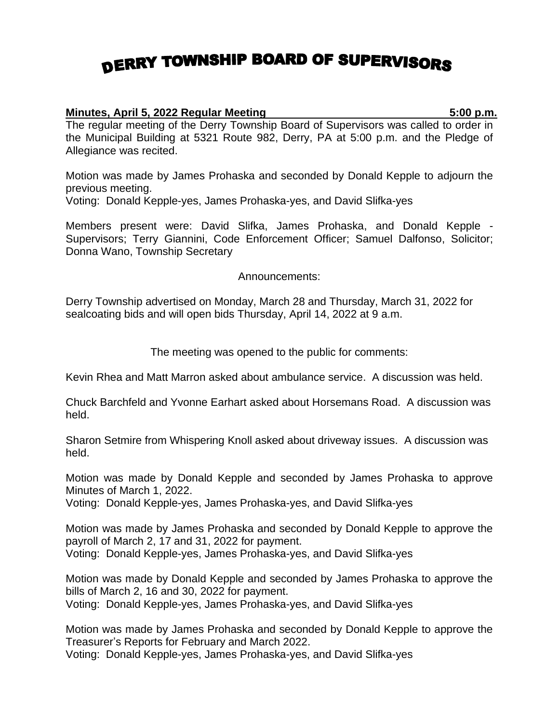## DERRY TOWNSHIP BOARD OF SUPERVISORS

## **Minutes, April 5, 2022 Regular Meeting 5:00 p.m.**

The regular meeting of the Derry Township Board of Supervisors was called to order in the Municipal Building at 5321 Route 982, Derry, PA at 5:00 p.m. and the Pledge of Allegiance was recited.

Motion was made by James Prohaska and seconded by Donald Kepple to adjourn the previous meeting.

Voting: Donald Kepple-yes, James Prohaska-yes, and David Slifka-yes

Members present were: David Slifka, James Prohaska, and Donald Kepple - Supervisors; Terry Giannini, Code Enforcement Officer; Samuel Dalfonso, Solicitor; Donna Wano, Township Secretary

Announcements:

Derry Township advertised on Monday, March 28 and Thursday, March 31, 2022 for sealcoating bids and will open bids Thursday, April 14, 2022 at 9 a.m.

The meeting was opened to the public for comments:

Kevin Rhea and Matt Marron asked about ambulance service. A discussion was held.

Chuck Barchfeld and Yvonne Earhart asked about Horsemans Road. A discussion was held.

Sharon Setmire from Whispering Knoll asked about driveway issues. A discussion was held.

Motion was made by Donald Kepple and seconded by James Prohaska to approve Minutes of March 1, 2022.

Voting: Donald Kepple-yes, James Prohaska-yes, and David Slifka-yes

Motion was made by James Prohaska and seconded by Donald Kepple to approve the payroll of March 2, 17 and 31, 2022 for payment. Voting: Donald Kepple-yes, James Prohaska-yes, and David Slifka-yes

Motion was made by Donald Kepple and seconded by James Prohaska to approve the bills of March 2, 16 and 30, 2022 for payment. Voting: Donald Kepple-yes, James Prohaska-yes, and David Slifka-yes

Motion was made by James Prohaska and seconded by Donald Kepple to approve the Treasurer's Reports for February and March 2022.

Voting: Donald Kepple-yes, James Prohaska-yes, and David Slifka-yes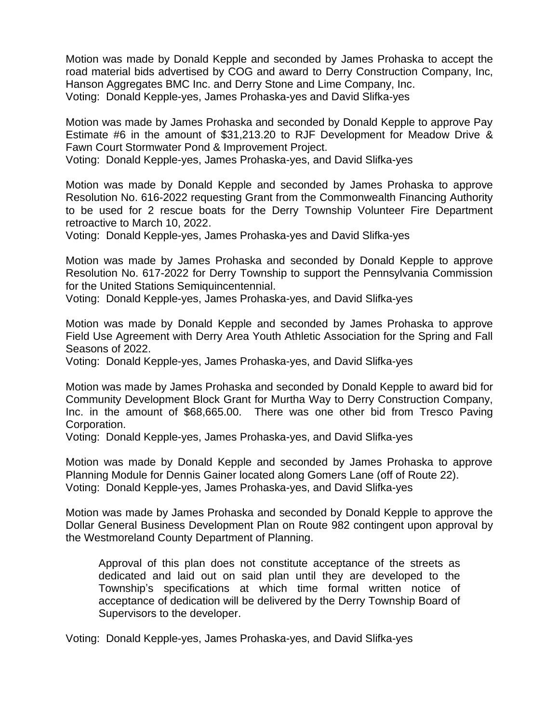Motion was made by Donald Kepple and seconded by James Prohaska to accept the road material bids advertised by COG and award to Derry Construction Company, Inc, Hanson Aggregates BMC Inc. and Derry Stone and Lime Company, Inc. Voting: Donald Kepple-yes, James Prohaska-yes and David Slifka-yes

Motion was made by James Prohaska and seconded by Donald Kepple to approve Pay Estimate #6 in the amount of \$31,213.20 to RJF Development for Meadow Drive & Fawn Court Stormwater Pond & Improvement Project.

Voting: Donald Kepple-yes, James Prohaska-yes, and David Slifka-yes

Motion was made by Donald Kepple and seconded by James Prohaska to approve Resolution No. 616-2022 requesting Grant from the Commonwealth Financing Authority to be used for 2 rescue boats for the Derry Township Volunteer Fire Department retroactive to March 10, 2022.

Voting: Donald Kepple-yes, James Prohaska-yes and David Slifka-yes

Motion was made by James Prohaska and seconded by Donald Kepple to approve Resolution No. 617-2022 for Derry Township to support the Pennsylvania Commission for the United Stations Semiquincentennial.

Voting: Donald Kepple-yes, James Prohaska-yes, and David Slifka-yes

Motion was made by Donald Kepple and seconded by James Prohaska to approve Field Use Agreement with Derry Area Youth Athletic Association for the Spring and Fall Seasons of 2022.

Voting: Donald Kepple-yes, James Prohaska-yes, and David Slifka-yes

Motion was made by James Prohaska and seconded by Donald Kepple to award bid for Community Development Block Grant for Murtha Way to Derry Construction Company, Inc. in the amount of \$68,665.00. There was one other bid from Tresco Paving Corporation.

Voting: Donald Kepple-yes, James Prohaska-yes, and David Slifka-yes

Motion was made by Donald Kepple and seconded by James Prohaska to approve Planning Module for Dennis Gainer located along Gomers Lane (off of Route 22). Voting: Donald Kepple-yes, James Prohaska-yes, and David Slifka-yes

Motion was made by James Prohaska and seconded by Donald Kepple to approve the Dollar General Business Development Plan on Route 982 contingent upon approval by the Westmoreland County Department of Planning.

Approval of this plan does not constitute acceptance of the streets as dedicated and laid out on said plan until they are developed to the Township's specifications at which time formal written notice of acceptance of dedication will be delivered by the Derry Township Board of Supervisors to the developer.

Voting: Donald Kepple-yes, James Prohaska-yes, and David Slifka-yes